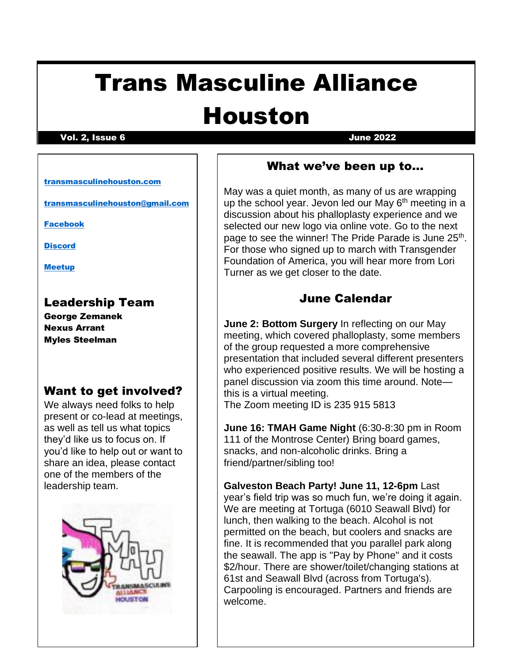# Trans Masculine Alliance

## Houston

#### Vol. 2, Issue 6 June 2022

#### [transmasculinehouston.com](http://www.transmasculinehouston.com/)

[transmasculinehouston@gmail.com](mailto:transmasculinehouston@gmail.com)

[Facebook](https://www.facebook.com/groups/1408091139559952)

**[Discord](https://l.facebook.com/l.php?u=https%3A%2F%2Fdiscord.gg%2F83mKxYZpYJ%3Ffbclid%3DIwAR2AxUz7tSDsM6mghQSbzXHkNaB0AIm3sxqsutVPUtL5NJEx4nKtV_rllVA&h=AT2pAwpFM9DvzeuGQ-NdfCAYwqn-rbca5BaKwpBWP1odsa-Zkfgf_sIUerXwcyjcRG-qo1i_FkY4TTypulStBmFgNLOzE1oMFFXaXfpKM0xAc-sXUv1AiKvzrg_RabU7-Wi5CSf9Sxt5FomwCjk)** 

[Meetup](https://www.meetup.com/Houston-Transgender-Meetup/)

#### Leadership Team

George Zemanek Nexus Arrant Myles Steelman

#### Want to get involved?

We always need folks to help present or co-lead at meetings, as well as tell us what topics they'd like us to focus on. If you'd like to help out or want to share an idea, please contact one of the members of the leadership team.



#### What we've been up to…

May was a quiet month, as many of us are wrapping up the school year. Jevon led our May  $6<sup>th</sup>$  meeting in a discussion about his phalloplasty experience and we selected our new logo via online vote. Go to the next page to see the winner! The Pride Parade is June 25<sup>th</sup>. For those who signed up to march with Transgender Foundation of America, you will hear more from Lori Turner as we get closer to the date.

#### June Calendar

**June 2: Bottom Surgery** In reflecting on our May meeting, which covered phalloplasty, some members of the group requested a more comprehensive presentation that included several different presenters who experienced positive results. We will be hosting a panel discussion via zoom this time around. Note this is a virtual meeting. The Zoom meeting ID is 235 915 5813

**June 16: TMAH Game Night** (6:30-8:30 pm in Room 111 of the Montrose Center) Bring board games, snacks, and non-alcoholic drinks. Bring a friend/partner/sibling too!

**Galveston Beach Party! June 11, 12-6pm** Last year's field trip was so much fun, we're doing it again. We are meeting at Tortuga (6010 Seawall Blvd) for lunch, then walking to the beach. Alcohol is not permitted on the beach, but coolers and snacks are fine. It is recommended that you parallel park along the seawall. The app is "Pay by Phone" and it costs \$2/hour. There are shower/toilet/changing stations at 61st and Seawall Blvd (across from Tortuga's). Carpooling is encouraged. Partners and friends are welcome.